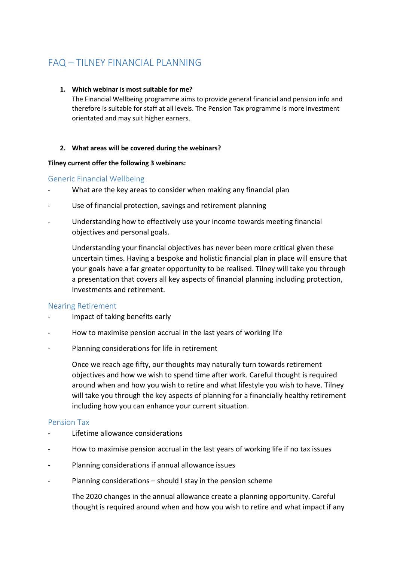# FAQ – TILNEY FINANCIAL PLANNING

#### **1. Which webinar is most suitable for me?**

The Financial Wellbeing programme aims to provide general financial and pension info and therefore is suitable for staff at all levels. The Pension Tax programme is more investment orientated and may suit higher earners.

#### **2. What areas will be covered during the webinars?**

#### **Tilney current offer the following 3 webinars:**

## Generic Financial Wellbeing

- What are the key areas to consider when making any financial plan
- Use of financial protection, savings and retirement planning
- Understanding how to effectively use your income towards meeting financial objectives and personal goals.

Understanding your financial objectives has never been more critical given these uncertain times. Having a bespoke and holistic financial plan in place will ensure that your goals have a far greater opportunity to be realised. Tilney will take you through a presentation that covers all key aspects of financial planning including protection, investments and retirement.

## Nearing Retirement

- Impact of taking benefits early
- How to maximise pension accrual in the last years of working life
- Planning considerations for life in retirement

Once we reach age fifty, our thoughts may naturally turn towards retirement objectives and how we wish to spend time after work. Careful thought is required around when and how you wish to retire and what lifestyle you wish to have. Tilney will take you through the key aspects of planning for a financially healthy retirement including how you can enhance your current situation.

#### Pension Tax

- Lifetime allowance considerations
- How to maximise pension accrual in the last years of working life if no tax issues
- Planning considerations if annual allowance issues
- Planning considerations should I stay in the pension scheme

The 2020 changes in the annual allowance create a planning opportunity. Careful thought is required around when and how you wish to retire and what impact if any